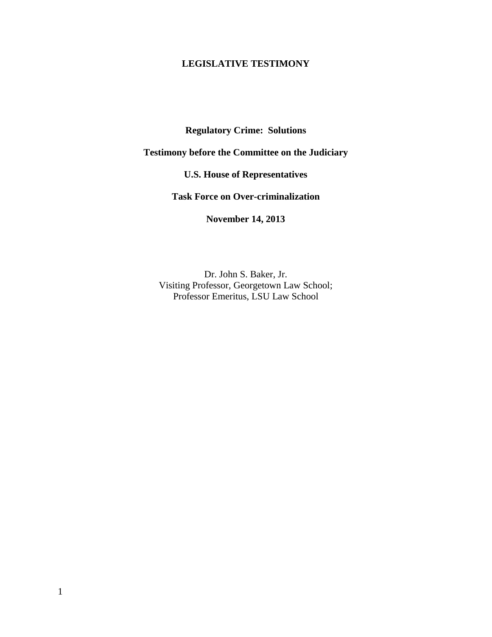# **LEGISLATIVE TESTIMONY**

**Regulatory Crime: Solutions**

**Testimony before the Committee on the Judiciary**

**U.S. House of Representatives**

**Task Force on Over-criminalization**

**November 14, 2013**

Dr. John S. Baker, Jr. Visiting Professor, Georgetown Law School; Professor Emeritus, LSU Law School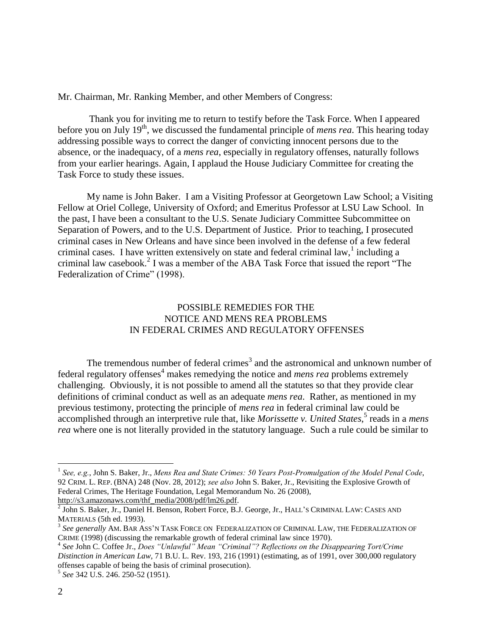Mr. Chairman, Mr. Ranking Member, and other Members of Congress:

Thank you for inviting me to return to testify before the Task Force. When I appeared before you on July 19<sup>th</sup>, we discussed the fundamental principle of *mens rea*. This hearing today addressing possible ways to correct the danger of convicting innocent persons due to the absence, or the inadequacy, of a *mens rea*, especially in regulatory offenses, naturally follows from your earlier hearings. Again, I applaud the House Judiciary Committee for creating the Task Force to study these issues.

My name is John Baker. I am a Visiting Professor at Georgetown Law School; a Visiting Fellow at Oriel College, University of Oxford; and Emeritus Professor at LSU Law School. In the past, I have been a consultant to the U.S. Senate Judiciary Committee Subcommittee on Separation of Powers, and to the U.S. Department of Justice. Prior to teaching, I prosecuted criminal cases in New Orleans and have since been involved in the defense of a few federal criminal cases. I have written extensively on state and federal criminal law,  $\frac{1}{1}$  including a criminal law casebook.<sup>2</sup> I was a member of the ABA Task Force that issued the report "The Federalization of Crime" (1998).

## POSSIBLE REMEDIES FOR THE NOTICE AND MENS REA PROBLEMS IN FEDERAL CRIMES AND REGULATORY OFFENSES

The tremendous number of federal crimes<sup>3</sup> and the astronomical and unknown number of federal regulatory offenses<sup>4</sup> makes remedying the notice and *mens rea* problems extremely challenging. Obviously, it is not possible to amend all the statutes so that they provide clear definitions of criminal conduct as well as an adequate *mens rea*. Rather, as mentioned in my previous testimony, protecting the principle of *mens rea* in federal criminal law could be accomplished through an interpretive rule that, like *Morissette v. United States*, 5 reads in a *mens rea* where one is not literally provided in the statutory language. Such a rule could be similar to

 $\overline{a}$ 

<sup>1</sup> *See, e.g.*, John S. Baker, Jr., *Mens Rea and State Crimes: 50 Years Post-Promulgation of the Model Penal Code*, 92 CRIM. L. REP. (BNA) 248 (Nov. 28, 2012); *see also* John S. Baker, Jr., Revisiting the Explosive Growth of Federal Crimes, The Heritage Foundation, Legal Memorandum No. 26 (2008), http://s3.amazonaws.com/thf\_media/2008/pdf/lm26.pdf.

<sup>&</sup>lt;sup>2</sup> John S. Baker, Jr., Daniel H. Benson, Robert Force, B.J. George, Jr., HALL'S CRIMINAL LAW: CASES AND MATERIALS (5th ed. 1993).

<sup>3</sup> *See generally* AM. BAR ASS'N TASK FORCE ON FEDERALIZATION OF CRIMINAL LAW, THE FEDERALIZATION OF CRIME (1998) (discussing the remarkable growth of federal criminal law since 1970).

<sup>&</sup>lt;sup>4</sup> See John C. Coffee Jr., *Does "Unlawful" Mean "Criminal"? Reflections on the Disappearing Tort/Crime Distinction in American Law*, 71 B.U. L. Rev. 193, 216 (1991) (estimating, as of 1991, over 300,000 regulatory offenses capable of being the basis of criminal prosecution).

<sup>5</sup> *See* 342 U.S. 246. 250-52 (1951).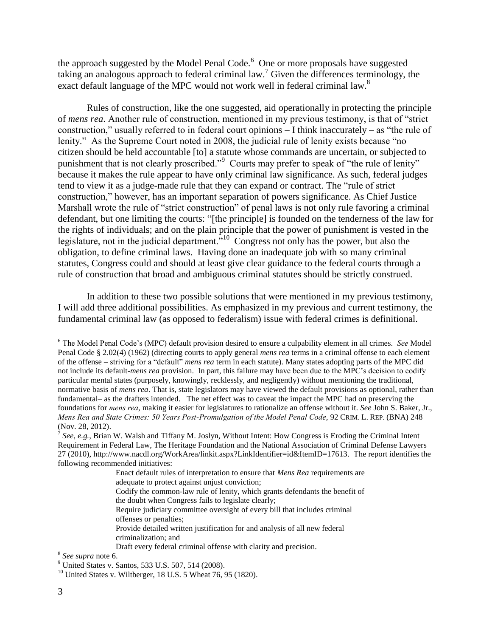the approach suggested by the Model Penal Code. $<sup>6</sup>$  One or more proposals have suggested</sup> taking an analogous approach to federal criminal law.<sup>7</sup> Given the differences terminology, the exact default language of the MPC would not work well in federal criminal law.<sup>8</sup>

Rules of construction, like the one suggested, aid operationally in protecting the principle of *mens rea*. Another rule of construction, mentioned in my previous testimony, is that of "strict construction," usually referred to in federal court opinions – I think inaccurately – as "the rule of lenity." As the Supreme Court noted in 2008, the judicial rule of lenity exists because "no citizen should be held accountable [to] a statute whose commands are uncertain, or subjected to punishment that is not clearly proscribed."<sup>9</sup> Courts may prefer to speak of "the rule of lenity" because it makes the rule appear to have only criminal law significance. As such, federal judges tend to view it as a judge-made rule that they can expand or contract. The "rule of strict construction," however, has an important separation of powers significance. As Chief Justice Marshall wrote the rule of "strict construction" of penal laws is not only rule favoring a criminal defendant, but one limiting the courts: "[the principle] is founded on the tenderness of the law for the rights of individuals; and on the plain principle that the power of punishment is vested in the legislature, not in the judicial department.<sup>510</sup> Congress not only has the power, but also the obligation, to define criminal laws. Having done an inadequate job with so many criminal statutes, Congress could and should at least give clear guidance to the federal courts through a rule of construction that broad and ambiguous criminal statutes should be strictly construed.

In addition to these two possible solutions that were mentioned in my previous testimony, I will add three additional possibilities. As emphasized in my previous and current testimony, the fundamental criminal law (as opposed to federalism) issue with federal crimes is definitional.

 6 The Model Penal Code's (MPC) default provision desired to ensure a culpability element in all crimes. *See* Model Penal Code § 2.02(4) (1962) (directing courts to apply general *mens rea* terms in a criminal offense to each element of the offense – striving for a "default" *mens rea* term in each statute). Many states adopting parts of the MPC did not include its default-*mens rea* provision. In part, this failure may have been due to the MPC's decision to codify particular mental states (purposely, knowingly, recklessly, and negligently) without mentioning the traditional, normative basis of *mens rea*. That is, state legislators may have viewed the default provisions as optional, rather than fundamental– as the drafters intended. The net effect was to caveat the impact the MPC had on preserving the foundations for *mens rea*, making it easier for legislatures to rationalize an offense without it. *See* John S. Baker, Jr., *Mens Rea and State Crimes: 50 Years Post-Promulgation of the Model Penal Code*, 92 CRIM. L. REP. (BNA) 248 (Nov. 28, 2012).

<sup>&</sup>lt;sup>7</sup> See, e.g., Brian W. Walsh and Tiffany M. Joslyn, Without Intent: How Congress is Eroding the Criminal Intent Requirement in Federal Law, The Heritage Foundation and the National Association of Criminal Defense Lawyers 27 (2010), http://www.nacdl.org/WorkArea/linkit.aspx?LinkIdentifier=id&ItemID=17613. The report identifies the following recommended initiatives:

Enact default rules of interpretation to ensure that *Mens Rea* requirements are adequate to protect against unjust conviction; Codify the common-law rule of lenity, which grants defendants the benefit of the doubt when Congress fails to legislate clearly; Require judiciary committee oversight of every bill that includes criminal

offenses or penalties;

Provide detailed written justification for and analysis of all new federal criminalization; and

Draft every federal criminal offense with clarity and precision.

<sup>8</sup> *See supra* note 6.

<sup>&</sup>lt;sup>9</sup> United States v. Santos, 533 U.S. 507, 514 (2008).

 $10$  United States v. Wiltberger, 18 U.S. 5 Wheat 76, 95 (1820).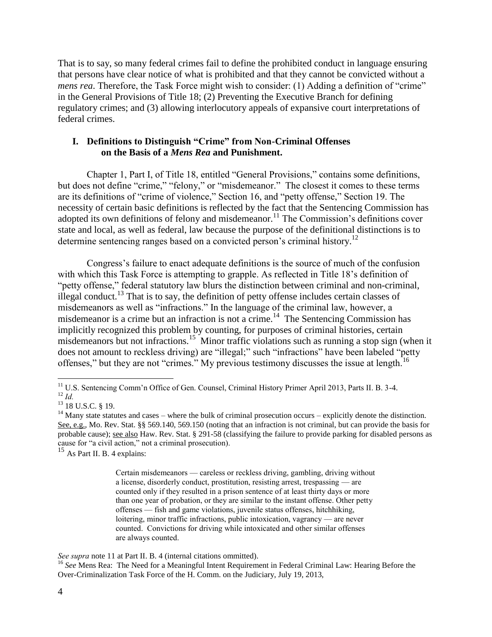That is to say, so many federal crimes fail to define the prohibited conduct in language ensuring that persons have clear notice of what is prohibited and that they cannot be convicted without a *mens rea*. Therefore, the Task Force might wish to consider: (1) Adding a definition of "crime" in the General Provisions of Title 18; (2) Preventing the Executive Branch for defining regulatory crimes; and (3) allowing interlocutory appeals of expansive court interpretations of federal crimes.

## **I. Definitions to Distinguish "Crime" from Non-Criminal Offenses on the Basis of a** *Mens Rea* **and Punishment.**

Chapter 1, Part I, of Title 18, entitled "General Provisions," contains some definitions, but does not define "crime," "felony," or "misdemeanor." The closest it comes to these terms are its definitions of "crime of violence," Section 16, and "petty offense," Section 19. The necessity of certain basic definitions is reflected by the fact that the Sentencing Commission has adopted its own definitions of felony and misdemeanor.<sup>11</sup> The Commission's definitions cover state and local, as well as federal, law because the purpose of the definitional distinctions is to determine sentencing ranges based on a convicted person's criminal history.<sup>12</sup>

Congress's failure to enact adequate definitions is the source of much of the confusion with which this Task Force is attempting to grapple. As reflected in Title 18's definition of "petty offense," federal statutory law blurs the distinction between criminal and non-criminal, illegal conduct.<sup>13</sup> That is to say, the definition of petty offense includes certain classes of misdemeanors as well as "infractions." In the language of the criminal law, however, a misdemeanor is a crime but an infraction is not a crime.<sup>14</sup> The Sentencing Commission has implicitly recognized this problem by counting, for purposes of criminal histories, certain misdemeanors but not infractions.<sup>15</sup> Minor traffic violations such as running a stop sign (when it does not amount to reckless driving) are "illegal;" such "infractions" have been labeled "petty offenses," but they are not "crimes." My previous testimony discusses the issue at length.<sup>16</sup>

<sup>15</sup> As Part II. B. 4 explains:

Certain misdemeanors — careless or reckless driving, gambling, driving without a license, disorderly conduct, prostitution, resisting arrest, trespassing — are counted only if they resulted in a prison sentence of at least thirty days or more than one year of probation, or they are similar to the instant offense. Other petty offenses — fish and game violations, juvenile status offenses, hitchhiking, loitering, minor traffic infractions, public intoxication, vagrancy — are never counted. Convictions for driving while intoxicated and other similar offenses are always counted.

 $\overline{a}$ <sup>11</sup> U.S. Sentencing Comm'n Office of Gen. Counsel, Criminal History Primer April 2013, Parts II. B. 3-4.

 $12$  *Id.* 

<sup>13</sup> 18 U.S.C. § 19.

 $14$  Many state statutes and cases – where the bulk of criminal prosecution occurs – explicitly denote the distinction. See, e.g., Mo. Rev. Stat. §§ 569.140, 569.150 (noting that an infraction is not criminal, but can provide the basis for probable cause); <u>see also</u> Haw. Rev. Stat. § 291-58 (classifying the failure to provide parking for disabled persons as cause for "a civil action," not a criminal prosecution).

*See supra* note 11 at Part II. B. 4 (internal citations ommitted).

<sup>&</sup>lt;sup>16</sup> See Mens Rea: The Need for a Meaningful Intent Requirement in Federal Criminal Law: Hearing Before the Over-Criminalization Task Force of the H. Comm. on the Judiciary, July 19, 2013,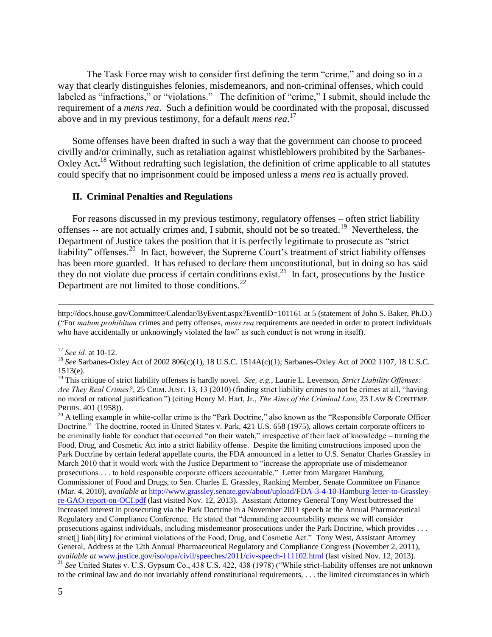The Task Force may wish to consider first defining the term "crime," and doing so in a way that clearly distinguishes felonies, misdemeanors, and non-criminal offenses, which could labeled as "infractions," or "violations." The definition of "crime," I submit, should include the requirement of a *mens rea*. Such a definition would be coordinated with the proposal, discussed above and in my previous testimony, for a default *mens rea*. 17

Some offenses have been drafted in such a way that the government can choose to proceed civilly and/or criminally, such as retaliation against whistleblowers prohibited by the Sarbanes-Oxley Act.<sup>18</sup> Without redrafting such legislation, the definition of crime applicable to all statutes could specify that no imprisonment could be imposed unless a *mens rea* is actually proved.

#### **II. Criminal Penalties and Regulations**

For reasons discussed in my previous testimony, regulatory offenses – often strict liability offenses -- are not actually crimes and, I submit, should not be so treated.<sup>19</sup> Nevertheless, the Department of Justice takes the position that it is perfectly legitimate to prosecute as "strict liability" offenses.<sup>20</sup> In fact, however, the Supreme Court's treatment of strict liability offenses has been more guarded. It has refused to declare them unconstitutional, but in doing so has said they do not violate due process if certain conditions exist.<sup>21</sup> In fact, prosecutions by the Justice Department are not limited to those conditions.<sup>22</sup>

http://docs.house.gov/Committee/Calendar/ByEvent.aspx?EventID=101161 at 5 (statement of John S. Baker, Ph.D.) ("For *malum prohibitum* crimes and petty offenses, *mens rea* requirements are needed in order to protect individuals who have accidentally or unknowingly violated the law" as such conduct is not wrong in itself).

 $\overline{a}$ 

<sup>20</sup> A telling example in white-collar crime is the "Park Doctrine," also known as the "Responsible Corporate Officer Doctrine." The doctrine, rooted in United States v. Park, 421 U.S. 658 (1975), allows certain corporate officers to be criminally liable for conduct that occurred "on their watch," irrespective of their lack of knowledge – turning the Food, Drug, and Cosmetic Act into a strict liability offense. Despite the limiting constructions imposed upon the Park Doctrine by certain federal appellate courts, the FDA announced in a letter to U.S. Senator Charles Grassley in March 2010 that it would work with the Justice Department to "increase the appropriate use of misdemeanor prosecutions . . . to hold responsible corporate officers accountable." Letter from Margaret Hamburg, Commissioner of Food and Drugs, to Sen. Charles E. Grassley, Ranking Member, Senate Committee on Finance (Mar. 4, 2010), *available at* [http://www.grassley.senate.gov/about/upload/FDA-3-4-10-Hamburg-letter-to-Grassley](http://www.grassley.senate.gov/about/upload/FDA-3-4-10-Hamburg-letter-to-Grassley-re-GAO-report-on-OCI.pdf)[re-GAO-report-on-OCI.pdf](http://www.grassley.senate.gov/about/upload/FDA-3-4-10-Hamburg-letter-to-Grassley-re-GAO-report-on-OCI.pdf) (last visited Nov. 12, 2013). Assistant Attorney General Tony West buttressed the increased interest in prosecuting via the Park Doctrine in a November 2011 speech at the Annual Pharmaceutical Regulatory and Compliance Conference. He stated that "demanding accountability means we will consider prosecutions against individuals, including misdemeanor prosecutions under the Park Doctrine, which provides . . . strict[] liab[ility] for criminal violations of the Food, Drug, and Cosmetic Act." Tony West, Assistant Attorney General, Address at the 12th Annual Pharmaceutical Regulatory and Compliance Congress (November 2, 2011), *available at* [www.justice.gov/iso/opa/civil/speeches/2011/civ-speech-111102.html](http://www.justice.gov/iso/opa/civil/speeches/2011/civ-speech-111102.html) (last visited Nov. 12, 2013). <sup>21</sup> *See* United States v. U.S. Gypsum Co., 438 U.S. 422, 438 (1978) ("While strict-liability offenses are not unknown to the criminal law and do not invariably offend constitutional requirements, . . . the limited circumstances in which

<sup>17</sup> *See id.* at 10-12.

<sup>18</sup> *See* Sarbanes-Oxley Act of 2002 806(c)(1), 18 U.S.C. 1514A(c)(1); Sarbanes-Oxley Act of 2002 1107, 18 U.S.C. 1513(e).

<sup>19</sup> This critique of strict liability offenses is hardly novel. *See, e.g.*, Laurie L. Levenson, *Strict Liability Offenses: Are They Real Crimes?*, 25 CRIM. JUST. 13, 13 (2010) (finding strict liability crimes to not be crimes at all, "having no moral or rational justification.") (citing Henry M. Hart, Jr., *The Aims of the Criminal Law*, 23 LAW & CONTEMP. PROBS. 401 (1958)).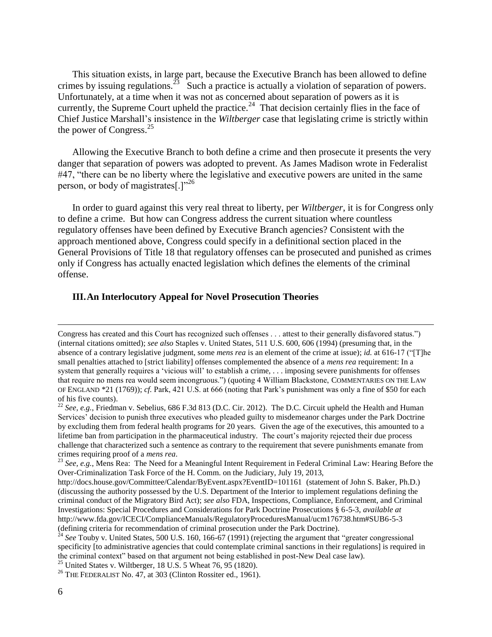This situation exists, in large part, because the Executive Branch has been allowed to define crimes by issuing regulations.<sup>23</sup> Such a practice is actually a violation of separation of powers. Unfortunately, at a time when it was not as concerned about separation of powers as it is currently, the Supreme Court upheld the practice.<sup>24</sup> That decision certainly flies in the face of Chief Justice Marshall's insistence in the *Wiltberger* case that legislating crime is strictly within the power of Congress. $^{25}$ 

Allowing the Executive Branch to both define a crime and then prosecute it presents the very danger that separation of powers was adopted to prevent. As James Madison wrote in Federalist #47, "there can be no liberty where the legislative and executive powers are united in the same person, or body of magistrates[.]"<sup>26</sup>

In order to guard against this very real threat to liberty, per *Wiltberger*, it is for Congress only to define a crime. But how can Congress address the current situation where countless regulatory offenses have been defined by Executive Branch agencies? Consistent with the approach mentioned above, Congress could specify in a definitional section placed in the General Provisions of Title 18 that regulatory offenses can be prosecuted and punished as crimes only if Congress has actually enacted legislation which defines the elements of the criminal offense.

#### **III.An Interlocutory Appeal for Novel Prosecution Theories**

 $\overline{a}$ 

Congress has created and this Court has recognized such offenses . . . attest to their generally disfavored status.") (internal citations omitted); *see also* Staples v. United States, 511 U.S. 600, 606 (1994) (presuming that, in the absence of a contrary legislative judgment, some *mens rea* is an element of the crime at issue); *id.* at 616-17 ("[T]he small penalties attached to [strict liability] offenses complemented the absence of a *mens rea* requirement: In a system that generally requires a 'vicious will' to establish a crime, . . . imposing severe punishments for offenses that require no mens rea would seem incongruous.") (quoting 4 William Blackstone, COMMENTARIES ON THE LAW OF ENGLAND \*21 (1769)); *cf.* Park, 421 U.S. at 666 (noting that Park's punishment was only a fine of \$50 for each of his five counts).

<sup>&</sup>lt;sup>22</sup> *See, e.g.*, Friedman v. Sebelius, 686 F.3d 813 (D.C. Cir. 2012). The D.C. Circuit upheld the Health and Human Services' decision to punish three executives who pleaded guilty to misdemeanor charges under the Park Doctrine by excluding them from federal health programs for 20 years. Given the age of the executives, this amounted to a lifetime ban from participation in the pharmaceutical industry. The court's majority rejected their due process challenge that characterized such a sentence as contrary to the requirement that severe punishments emanate from crimes requiring proof of a *mens rea*.

<sup>&</sup>lt;sup>23</sup> *See, e.g.*, Mens Rea: The Need for a Meaningful Intent Requirement in Federal Criminal Law: Hearing Before the Over-Criminalization Task Force of the H. Comm. on the Judiciary, July 19, 2013,

http://docs.house.gov/Committee/Calendar/ByEvent.aspx?EventID=101161 (statement of John S. Baker, Ph.D.) (discussing the authority possessed by the U.S. Department of the Interior to implement regulations defining the criminal conduct of the Migratory Bird Act); *see also* FDA, Inspections, Compliance, Enforcement, and Criminal Investigations: Special Procedures and Considerations for Park Doctrine Prosecutions § 6-5-3, *available at*  http://www.fda.gov/ICECI/ComplianceManuals/RegulatoryProceduresManual/ucm176738.htm#SUB6-5-3 (defining criteria for recommendation of criminal prosecution under the Park Doctrine).

<sup>&</sup>lt;sup>24</sup> See Touby v. United States, 500 U.S. 160, 166-67 (1991) (rejecting the argument that "greater congressional specificity [to administrative agencies that could contemplate criminal sanctions in their regulations] is required in the criminal context" based on that argument not being established in post-New Deal case law).

<sup>&</sup>lt;sup>25</sup> United States v. Wiltberger, 18 U.S. 5 Wheat 76, 95 (1820).

<sup>&</sup>lt;sup>26</sup> THE FEDERALIST No. 47, at 303 (Clinton Rossiter ed., 1961).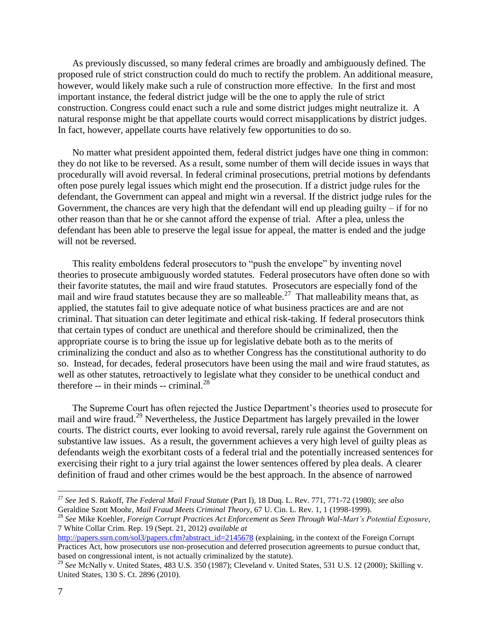As previously discussed, so many federal crimes are broadly and ambiguously defined. The proposed rule of strict construction could do much to rectify the problem. An additional measure, however, would likely make such a rule of construction more effective. In the first and most important instance, the federal district judge will be the one to apply the rule of strict construction. Congress could enact such a rule and some district judges might neutralize it. A natural response might be that appellate courts would correct misapplications by district judges. In fact, however, appellate courts have relatively few opportunities to do so.

No matter what president appointed them, federal district judges have one thing in common: they do not like to be reversed. As a result, some number of them will decide issues in ways that procedurally will avoid reversal. In federal criminal prosecutions, pretrial motions by defendants often pose purely legal issues which might end the prosecution. If a district judge rules for the defendant, the Government can appeal and might win a reversal. If the district judge rules for the Government, the chances are very high that the defendant will end up pleading guilty – if for no other reason than that he or she cannot afford the expense of trial. After a plea, unless the defendant has been able to preserve the legal issue for appeal, the matter is ended and the judge will not be reversed.

This reality emboldens federal prosecutors to "push the envelope" by inventing novel theories to prosecute ambiguously worded statutes. Federal prosecutors have often done so with their favorite statutes, the mail and wire fraud statutes. Prosecutors are especially fond of the mail and wire fraud statutes because they are so malleable.<sup>27</sup> That malleability means that, as applied, the statutes fail to give adequate notice of what business practices are and are not criminal. That situation can deter legitimate and ethical risk-taking. If federal prosecutors think that certain types of conduct are unethical and therefore should be criminalized, then the appropriate course is to bring the issue up for legislative debate both as to the merits of criminalizing the conduct and also as to whether Congress has the constitutional authority to do so. Instead, for decades, federal prosecutors have been using the mail and wire fraud statutes, as well as other statutes, retroactively to legislate what they consider to be unethical conduct and therefore  $-$  in their minds  $-$  criminal.<sup>28</sup>

The Supreme Court has often rejected the Justice Department's theories used to prosecute for mail and wire fraud.<sup>29</sup> Nevertheless, the Justice Department has largely prevailed in the lower courts. The district courts, ever looking to avoid reversal, rarely rule against the Government on substantive law issues. As a result, the government achieves a very high level of guilty pleas as defendants weigh the exorbitant costs of a federal trial and the potentially increased sentences for exercising their right to a jury trial against the lower sentences offered by plea deals. A clearer definition of fraud and other crimes would be the best approach. In the absence of narrowed

<sup>28</sup> *See* Mike Koehler, *Foreign Corrupt Practices Act Enforcement as Seen Through Wal-Mart's Potential Exposure*, 7 White Collar Crim. Rep. 19 (Sept. 21, 2012) *available at* 

 $\overline{a}$ 

<sup>27</sup> *See* Jed S. Rakoff, *The Federal Mail Fraud Statute* (Part I), 18 Duq. L. Rev. 771, 771-72 (1980); *see also* Geraldine Szott Moohr, *Mail Fraud Meets Criminal Theory*, 67 U. Cin. L. Rev. 1, 1 (1998-1999).

[http://papers.ssrn.com/sol3/papers.cfm?abstract\\_id=2145678](http://papers.ssrn.com/sol3/papers.cfm?abstract_id=2145678) (explaining, in the context of the Foreign Corrupt Practices Act, how prosecutors use non-prosecution and deferred prosecution agreements to pursue conduct that, based on congressional intent, is not actually criminalized by the statute).

<sup>&</sup>lt;sup>29</sup> See McNally v. United States, 483 U.S. 350 (1987); Cleveland v. United States, 531 U.S. 12 (2000); Skilling v. United States, 130 S. Ct. 2896 (2010).